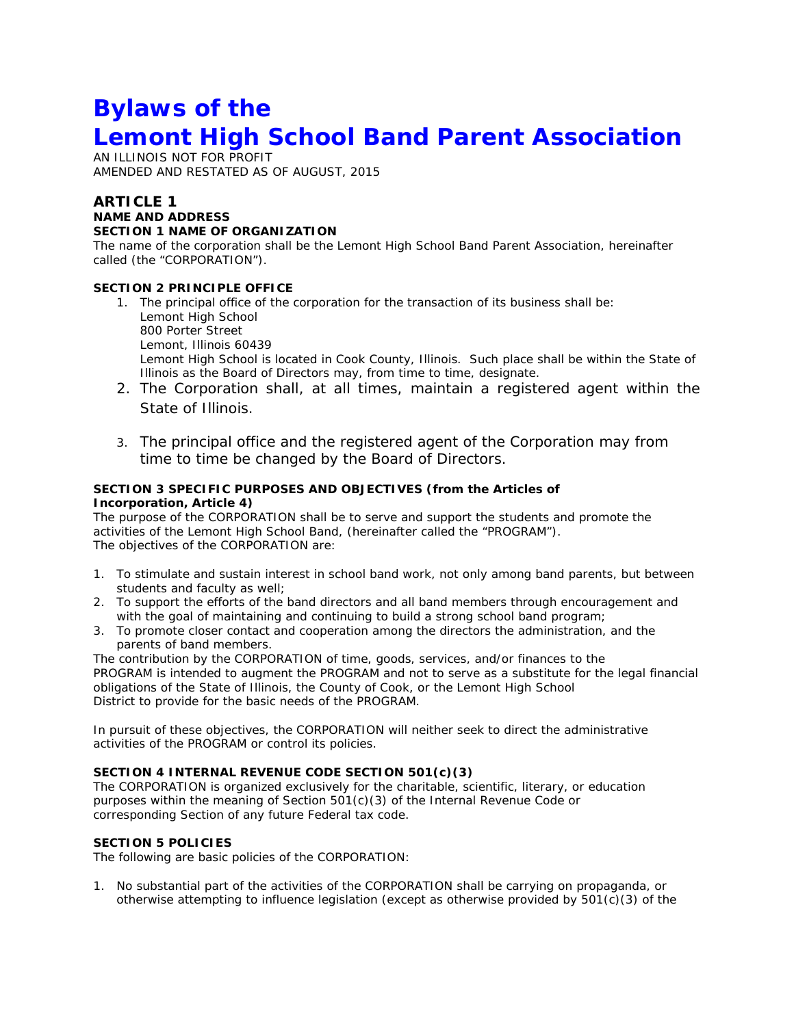# **Bylaws of the Lemont High School Band Parent Association**

AN ILLINOIS NOT FOR PROFIT AMENDED AND RESTATED AS OF AUGUST, 2015

# **ARTICLE 1 NAME AND ADDRESS SECTION 1 NAME OF ORGANIZATION**

The name of the corporation shall be the Lemont High School Band Parent Association, hereinafter called (the "CORPORATION").

# **SECTION 2 PRINCIPLE OFFICE**

- 1. The principal office of the corporation for the transaction of its business shall be: Lemont High School 800 Porter Street Lemont, Illinois 60439 Lemont High School is located in Cook County, Illinois. Such place shall be within the State of Illinois as the Board of Directors may, from time to time, designate.
- 2. The Corporation shall, at all times, maintain a registered agent within the State of Illinois.
- 3. The principal office and the registered agent of the Corporation may from time to time be changed by the Board of Directors.

# **SECTION 3 SPECIFIC PURPOSES AND OBJECTIVES (from the Articles of Incorporation, Article 4)**

The purpose of the CORPORATION shall be to serve and support the students and promote the activities of the Lemont High School Band, (hereinafter called the "PROGRAM"). The objectives of the CORPORATION are:

- 1. To stimulate and sustain interest in school band work, not only among band parents, but between students and faculty as well;
- 2. To support the efforts of the band directors and all band members through encouragement and with the goal of maintaining and continuing to build a strong school band program;
- 3. To promote closer contact and cooperation among the directors the administration, and the parents of band members.

The contribution by the CORPORATION of time, goods, services, and/or finances to the PROGRAM is intended to augment the PROGRAM and not to serve as a substitute for the legal financial obligations of the State of Illinois, the County of Cook, or the Lemont High School District to provide for the basic needs of the PROGRAM.

In pursuit of these objectives, the CORPORATION will neither seek to direct the administrative activities of the PROGRAM or control its policies.

# **SECTION 4 INTERNAL REVENUE CODE SECTION 501(c)(3)**

The CORPORATION is organized exclusively for the charitable, scientific, literary, or education purposes within the meaning of Section 501(c)(3) of the Internal Revenue Code or corresponding Section of any future Federal tax code.

# **SECTION 5 POLICIES**

The following are basic policies of the CORPORATION:

1. No substantial part of the activities of the CORPORATION shall be carrying on propaganda, or otherwise attempting to influence legislation (except as otherwise provided by 501(c)(3) of the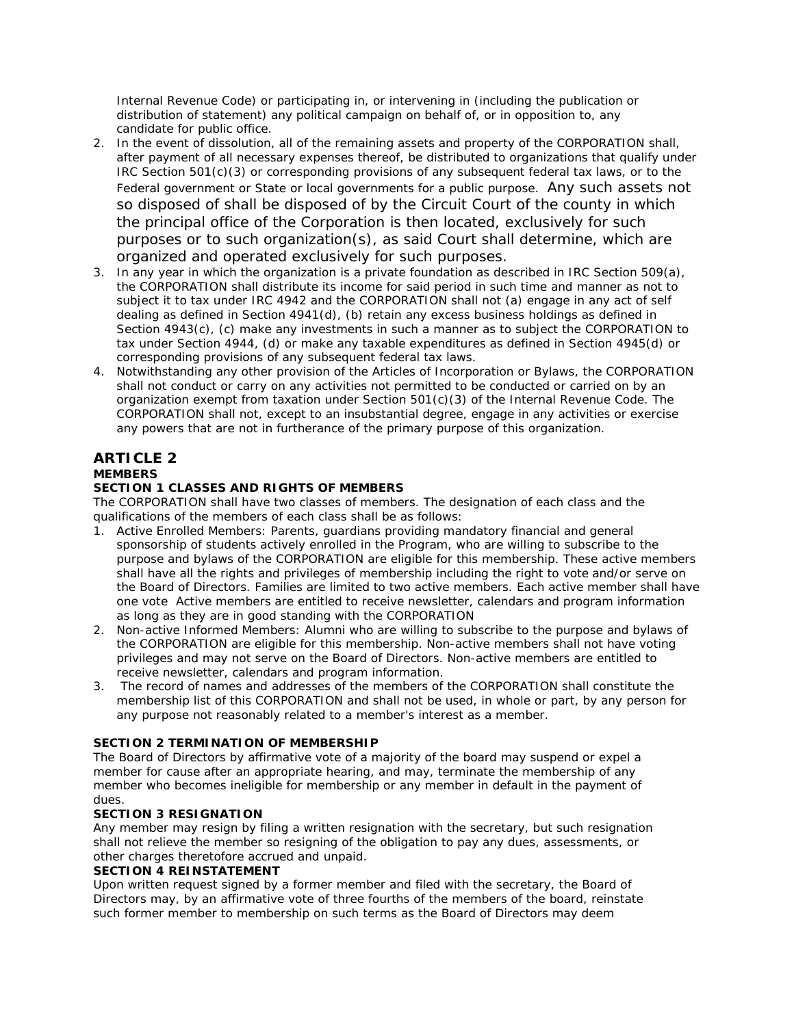Internal Revenue Code) or participating in, or intervening in (including the publication or distribution of statement) any political campaign on behalf of, or in opposition to, any candidate for public office.

- 2. In the event of dissolution, all of the remaining assets and property of the CORPORATION shall, after payment of all necessary expenses thereof, be distributed to organizations that qualify under IRC Section 501(c)(3) or corresponding provisions of any subsequent federal tax laws, or to the Federal government or State or local governments for a public purpose. Any such assets not so disposed of shall be disposed of by the Circuit Court of the county in which the principal office of the Corporation is then located, exclusively for such purposes or to such organization(s), as said Court shall determine, which are organized and operated exclusively for such purposes.
- 3. In any year in which the organization is a private foundation as described in IRC Section 509(a), the CORPORATION shall distribute its income for said period in such time and manner as not to subject it to tax under IRC 4942 and the CORPORATION shall not (a) engage in any act of self dealing as defined in Section 4941(d), (b) retain any excess business holdings as defined in Section 4943(c), (c) make any investments in such a manner as to subject the CORPORATION to tax under Section 4944, (d) or make any taxable expenditures as defined in Section 4945(d) or corresponding provisions of any subsequent federal tax laws.
- 4. Notwithstanding any other provision of the Articles of Incorporation or Bylaws, the CORPORATION shall not conduct or carry on any activities not permitted to be conducted or carried on by an organization exempt from taxation under Section 501(c)(3) of the Internal Revenue Code. The CORPORATION shall not, except to an insubstantial degree, engage in any activities or exercise any powers that are not in furtherance of the primary purpose of this organization.

# **ARTICLE 2 MEMBERS**

# **SECTION 1 CLASSES AND RIGHTS OF MEMBERS**

The CORPORATION shall have two classes of members. The designation of each class and the qualifications of the members of each class shall be as follows:

- 1. Active Enrolled Members: Parents, guardians providing mandatory financial and general sponsorship of students actively enrolled in the Program, who are willing to subscribe to the purpose and bylaws of the CORPORATION are eligible for this membership. These active members shall have all the rights and privileges of membership including the right to vote and/or serve on the Board of Directors. Families are limited to two active members. Each active member shall have one vote Active members are entitled to receive newsletter, calendars and program information as long as they are in good standing with the CORPORATION
- 2. Non-active Informed Members: Alumni who are willing to subscribe to the purpose and bylaws of the CORPORATION are eligible for this membership. Non-active members shall not have voting privileges and may not serve on the Board of Directors. Non-active members are entitled to receive newsletter, calendars and program information.
- 3. The record of names and addresses of the members of the CORPORATION shall constitute the membership list of this CORPORATION and shall not be used, in whole or part, by any person for any purpose not reasonably related to a member's interest as a member.

# **SECTION 2 TERMINATION OF MEMBERSHIP**

The Board of Directors by affirmative vote of a majority of the board may suspend or expel a member for cause after an appropriate hearing, and may, terminate the membership of any member who becomes ineligible for membership or any member in default in the payment of dues.

# **SECTION 3 RESIGNATION**

Any member may resign by filing a written resignation with the secretary, but such resignation shall not relieve the member so resigning of the obligation to pay any dues, assessments, or other charges theretofore accrued and unpaid.

# **SECTION 4 REINSTATEMENT**

Upon written request signed by a former member and filed with the secretary, the Board of Directors may, by an affirmative vote of three fourths of the members of the board, reinstate such former member to membership on such terms as the Board of Directors may deem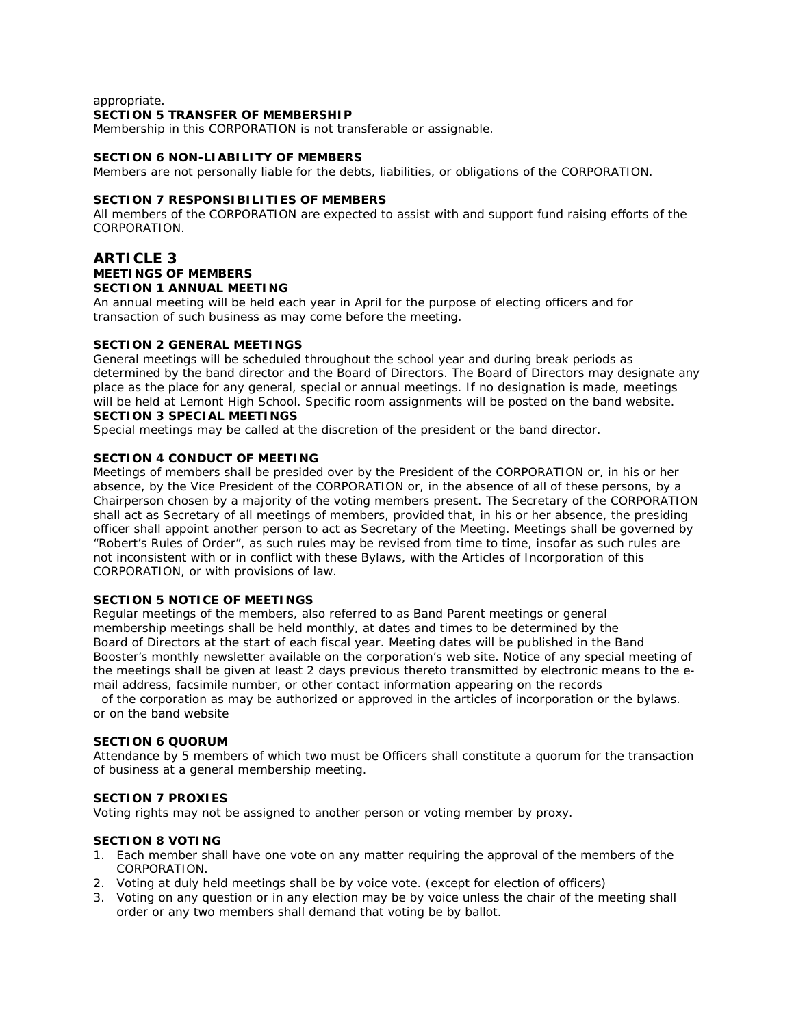#### appropriate.

### **SECTION 5 TRANSFER OF MEMBERSHIP**

Membership in this CORPORATION is not transferable or assignable.

### **SECTION 6 NON-LIABILITY OF MEMBERS**

Members are not personally liable for the debts, liabilities, or obligations of the CORPORATION.

### **SECTION 7 RESPONSIBILITIES OF MEMBERS**

All members of the CORPORATION are expected to assist with and support fund raising efforts of the CORPORATION.

# **ARTICLE 3 MEETINGS OF MEMBERS SECTION 1 ANNUAL MEETING**

An annual meeting will be held each year in April for the purpose of electing officers and for transaction of such business as may come before the meeting.

#### **SECTION 2 GENERAL MEETINGS**

General meetings will be scheduled throughout the school year and during break periods as determined by the band director and the Board of Directors. The Board of Directors may designate any place as the place for any general, special or annual meetings. If no designation is made, meetings will be held at Lemont High School. Specific room assignments will be posted on the band website. **SECTION 3 SPECIAL MEETINGS**

Special meetings may be called at the discretion of the president or the band director.

#### **SECTION 4 CONDUCT OF MEETING**

Meetings of members shall be presided over by the President of the CORPORATION or, in his or her absence, by the Vice President of the CORPORATION or, in the absence of all of these persons, by a Chairperson chosen by a majority of the voting members present. The Secretary of the CORPORATION shall act as Secretary of all meetings of members, provided that, in his or her absence, the presiding officer shall appoint another person to act as Secretary of the Meeting. Meetings shall be governed by "Robert's Rules of Order", as such rules may be revised from time to time, insofar as such rules are not inconsistent with or in conflict with these Bylaws, with the Articles of Incorporation of this CORPORATION, or with provisions of law.

### **SECTION 5 NOTICE OF MEETINGS**

Regular meetings of the members, also referred to as Band Parent meetings or general membership meetings shall be held monthly, at dates and times to be determined by the Board of Directors at the start of each fiscal year. Meeting dates will be published in the Band Booster's monthly newsletter available on the corporation's web site. Notice of any special meeting of the meetings shall be given at least 2 days previous thereto transmitted by electronic means to the email address, facsimile number, or other contact information appearing on the records

 of the corporation as may be authorized or approved in the articles of incorporation or the bylaws. or on the band website

#### **SECTION 6 QUORUM**

Attendance by 5 members of which two must be Officers shall constitute a quorum for the transaction of business at a general membership meeting.

### **SECTION 7 PROXIES**

Voting rights may not be assigned to another person or voting member by proxy.

### **SECTION 8 VOTING**

- 1. Each member shall have one vote on any matter requiring the approval of the members of the CORPORATION.
- 2. Voting at duly held meetings shall be by voice vote. (except for election of officers)
- 3. Voting on any question or in any election may be by voice unless the chair of the meeting shall order or any two members shall demand that voting be by ballot.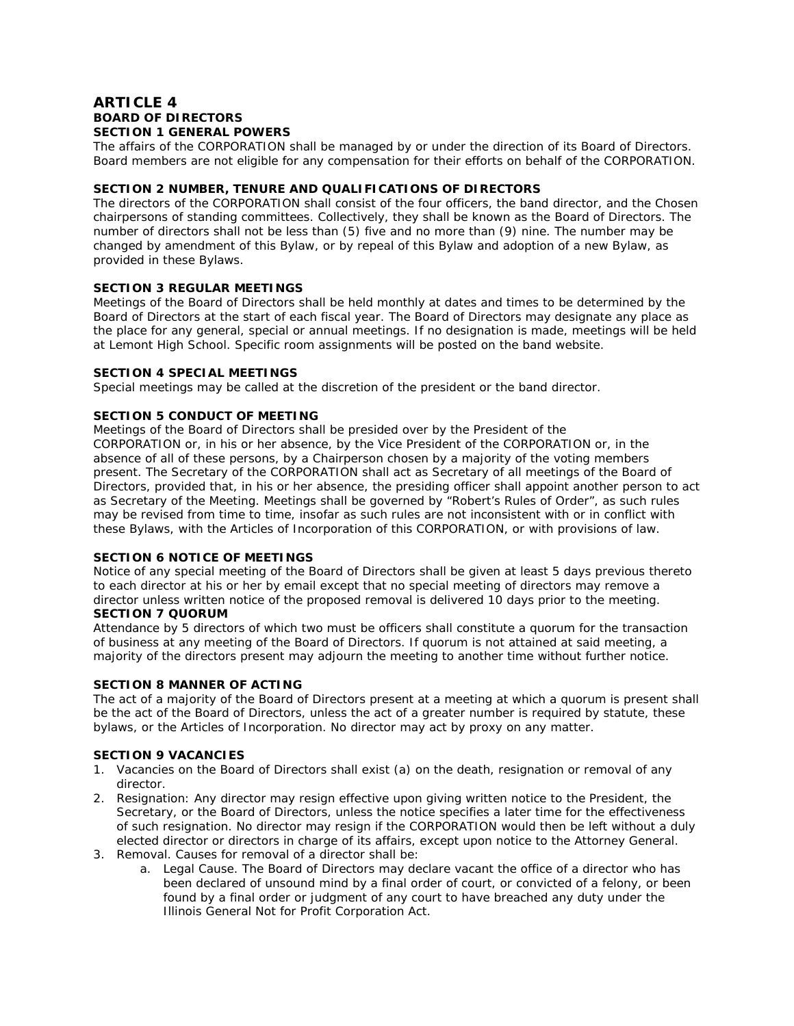# **ARTICLE 4 BOARD OF DIRECTORS SECTION 1 GENERAL POWERS**

The affairs of the CORPORATION shall be managed by or under the direction of its Board of Directors. Board members are not eligible for any compensation for their efforts on behalf of the CORPORATION.

# **SECTION 2 NUMBER, TENURE AND QUALIFICATIONS OF DIRECTORS**

The directors of the CORPORATION shall consist of the four officers, the band director, and the Chosen chairpersons of standing committees. Collectively, they shall be known as the Board of Directors. The number of directors shall not be less than (5) five and no more than (9) nine. The number may be changed by amendment of this Bylaw, or by repeal of this Bylaw and adoption of a new Bylaw, as provided in these Bylaws.

### **SECTION 3 REGULAR MEETINGS**

Meetings of the Board of Directors shall be held monthly at dates and times to be determined by the Board of Directors at the start of each fiscal year. The Board of Directors may designate any place as the place for any general, special or annual meetings. If no designation is made, meetings will be held at Lemont High School. Specific room assignments will be posted on the band website.

### **SECTION 4 SPECIAL MEETINGS**

Special meetings may be called at the discretion of the president or the band director.

### **SECTION 5 CONDUCT OF MEETING**

Meetings of the Board of Directors shall be presided over by the President of the CORPORATION or, in his or her absence, by the Vice President of the CORPORATION or, in the absence of all of these persons, by a Chairperson chosen by a majority of the voting members present. The Secretary of the CORPORATION shall act as Secretary of all meetings of the Board of Directors, provided that, in his or her absence, the presiding officer shall appoint another person to act as Secretary of the Meeting. Meetings shall be governed by "Robert's Rules of Order", as such rules may be revised from time to time, insofar as such rules are not inconsistent with or in conflict with these Bylaws, with the Articles of Incorporation of this CORPORATION, or with provisions of law.

### **SECTION 6 NOTICE OF MEETINGS**

Notice of any special meeting of the Board of Directors shall be given at least 5 days previous thereto to each director at his or her by email except that no special meeting of directors may remove a director unless written notice of the proposed removal is delivered 10 days prior to the meeting. **SECTION 7 QUORUM**

Attendance by 5 directors of which two must be officers shall constitute a quorum for the transaction of business at any meeting of the Board of Directors. If quorum is not attained at said meeting, a majority of the directors present may adjourn the meeting to another time without further notice.

### **SECTION 8 MANNER OF ACTING**

The act of a majority of the Board of Directors present at a meeting at which a quorum is present shall be the act of the Board of Directors, unless the act of a greater number is required by statute, these bylaws, or the Articles of Incorporation. No director may act by proxy on any matter.

### **SECTION 9 VACANCIES**

- 1. Vacancies on the Board of Directors shall exist (a) on the death, resignation or removal of any director.
- 2. Resignation: Any director may resign effective upon giving written notice to the President, the Secretary, or the Board of Directors, unless the notice specifies a later time for the effectiveness of such resignation. No director may resign if the CORPORATION would then be left without a duly elected director or directors in charge of its affairs, except upon notice to the Attorney General.
- 3. Removal. Causes for removal of a director shall be:
	- a. Legal Cause. The Board of Directors may declare vacant the office of a director who has been declared of unsound mind by a final order of court, or convicted of a felony, or been found by a final order or judgment of any court to have breached any duty under the Illinois General Not for Profit Corporation Act.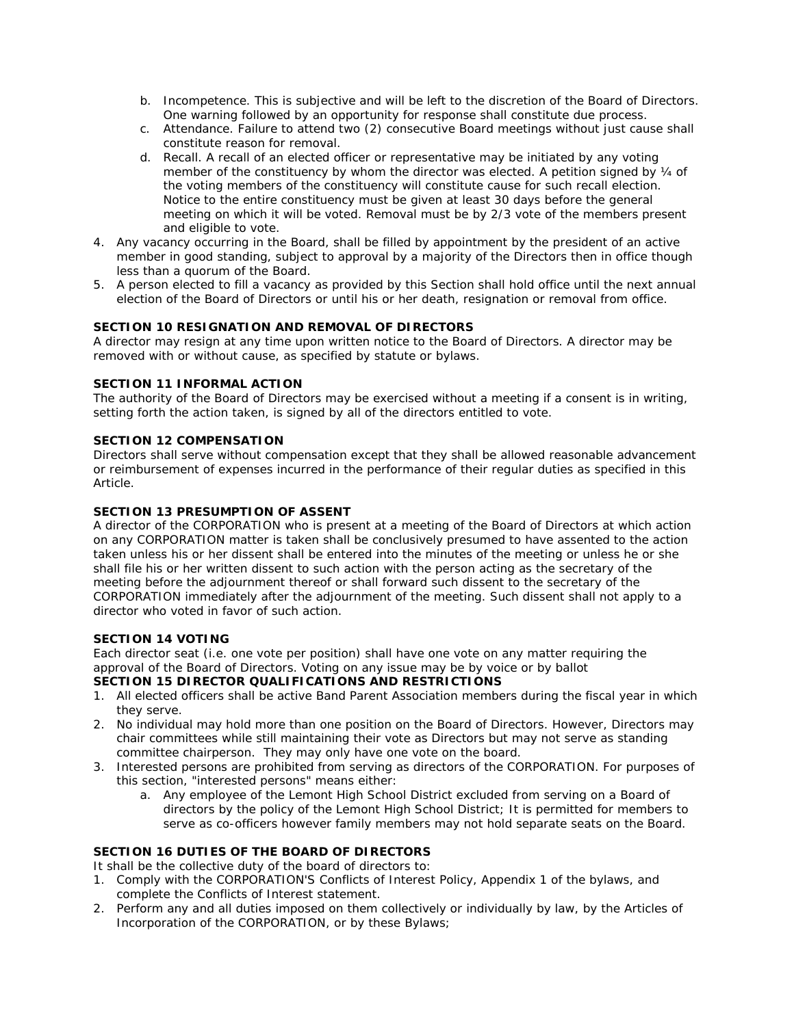- b. Incompetence. This is subjective and will be left to the discretion of the Board of Directors. One warning followed by an opportunity for response shall constitute due process.
- c. Attendance. Failure to attend two (2) consecutive Board meetings without just cause shall constitute reason for removal.
- d. Recall. A recall of an elected officer or representative may be initiated by any voting member of the constituency by whom the director was elected. A petition signed by 1/4 of the voting members of the constituency will constitute cause for such recall election. Notice to the entire constituency must be given at least 30 days before the general meeting on which it will be voted. Removal must be by 2/3 vote of the members present and eligible to vote.
- 4. Any vacancy occurring in the Board, shall be filled by appointment by the president of an active member in good standing, subject to approval by a majority of the Directors then in office though less than a quorum of the Board.
- 5. A person elected to fill a vacancy as provided by this Section shall hold office until the next annual election of the Board of Directors or until his or her death, resignation or removal from office.

# **SECTION 10 RESIGNATION AND REMOVAL OF DIRECTORS**

A director may resign at any time upon written notice to the Board of Directors. A director may be removed with or without cause, as specified by statute or bylaws.

# **SECTION 11 INFORMAL ACTION**

The authority of the Board of Directors may be exercised without a meeting if a consent is in writing, setting forth the action taken, is signed by all of the directors entitled to vote.

### **SECTION 12 COMPENSATION**

Directors shall serve without compensation except that they shall be allowed reasonable advancement or reimbursement of expenses incurred in the performance of their regular duties as specified in this Article.

# **SECTION 13 PRESUMPTION OF ASSENT**

A director of the CORPORATION who is present at a meeting of the Board of Directors at which action on any CORPORATION matter is taken shall be conclusively presumed to have assented to the action taken unless his or her dissent shall be entered into the minutes of the meeting or unless he or she shall file his or her written dissent to such action with the person acting as the secretary of the meeting before the adjournment thereof or shall forward such dissent to the secretary of the CORPORATION immediately after the adjournment of the meeting. Such dissent shall not apply to a director who voted in favor of such action.

### **SECTION 14 VOTING**

Each director seat (i.e. one vote per position) shall have one vote on any matter requiring the approval of the Board of Directors. Voting on any issue may be by voice or by ballot

# **SECTION 15 DIRECTOR QUALIFICATIONS AND RESTRICTIONS**

- 1. All elected officers shall be active Band Parent Association members during the fiscal year in which they serve.
- 2. No individual may hold more than one position on the Board of Directors. However, Directors may chair committees while still maintaining their vote as Directors but may not serve as standing committee chairperson. They may only have one vote on the board.
- 3. Interested persons are prohibited from serving as directors of the CORPORATION. For purposes of this section, "interested persons" means either:
	- a. Any employee of the Lemont High School District excluded from serving on a Board of directors by the policy of the Lemont High School District; It is permitted for members to serve as co-officers however family members may not hold separate seats on the Board.

# **SECTION 16 DUTIES OF THE BOARD OF DIRECTORS**

It shall be the collective duty of the board of directors to:

- 1. Comply with the CORPORATION'S Conflicts of Interest Policy, Appendix 1 of the bylaws, and complete the Conflicts of Interest statement.
- 2. Perform any and all duties imposed on them collectively or individually by law, by the Articles of Incorporation of the CORPORATION, or by these Bylaws;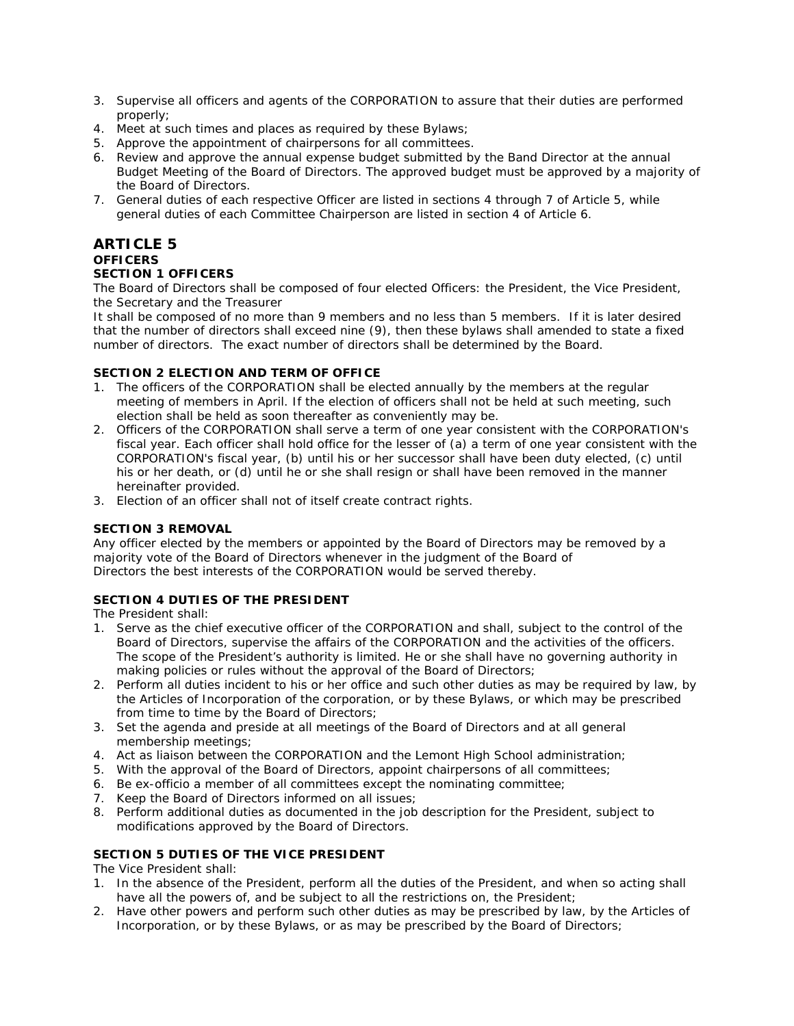- 3. Supervise all officers and agents of the CORPORATION to assure that their duties are performed properly;
- 4. Meet at such times and places as required by these Bylaws;
- 5. Approve the appointment of chairpersons for all committees.
- 6. Review and approve the annual expense budget submitted by the Band Director at the annual Budget Meeting of the Board of Directors. The approved budget must be approved by a majority of the Board of Directors.
- 7. General duties of each respective Officer are listed in sections 4 through 7 of Article 5, while general duties of each Committee Chairperson are listed in section 4 of Article 6.

# **ARTICLE 5 OFFICERS SECTION 1 OFFICERS**

The Board of Directors shall be composed of four elected Officers: the President, the Vice President, the Secretary and the Treasurer

It shall be composed of no more than 9 members and no less than 5 members. If it is later desired that the number of directors shall exceed nine (9), then these bylaws shall amended to state a fixed number of directors. The exact number of directors shall be determined by the Board.

# **SECTION 2 ELECTION AND TERM OF OFFICE**

- 1. The officers of the CORPORATION shall be elected annually by the members at the regular meeting of members in April. If the election of officers shall not be held at such meeting, such election shall be held as soon thereafter as conveniently may be.
- 2. Officers of the CORPORATION shall serve a term of one year consistent with the CORPORATION's fiscal year. Each officer shall hold office for the lesser of (a) a term of one year consistent with the CORPORATION's fiscal year, (b) until his or her successor shall have been duty elected, (c) until his or her death, or (d) until he or she shall resign or shall have been removed in the manner hereinafter provided.
- 3. Election of an officer shall not of itself create contract rights.

# **SECTION 3 REMOVAL**

Any officer elected by the members or appointed by the Board of Directors may be removed by a majority vote of the Board of Directors whenever in the judgment of the Board of Directors the best interests of the CORPORATION would be served thereby.

# **SECTION 4 DUTIES OF THE PRESIDENT**

The President shall:

- 1. Serve as the chief executive officer of the CORPORATION and shall, subject to the control of the Board of Directors, supervise the affairs of the CORPORATION and the activities of the officers. The scope of the President's authority is limited. He or she shall have no governing authority in making policies or rules without the approval of the Board of Directors;
- 2. Perform all duties incident to his or her office and such other duties as may be required by law, by the Articles of Incorporation of the corporation, or by these Bylaws, or which may be prescribed from time to time by the Board of Directors;
- 3. Set the agenda and preside at all meetings of the Board of Directors and at all general membership meetings;
- 4. Act as liaison between the CORPORATION and the Lemont High School administration;
- 5. With the approval of the Board of Directors, appoint chairpersons of all committees;
- 6. Be ex-officio a member of all committees except the nominating committee;
- 7. Keep the Board of Directors informed on all issues;
- 8. Perform additional duties as documented in the job description for the President, subject to modifications approved by the Board of Directors.

# **SECTION 5 DUTIES OF THE VICE PRESIDENT**

The Vice President shall:

- 1. In the absence of the President, perform all the duties of the President, and when so acting shall have all the powers of, and be subject to all the restrictions on, the President;
- 2. Have other powers and perform such other duties as may be prescribed by law, by the Articles of Incorporation, or by these Bylaws, or as may be prescribed by the Board of Directors;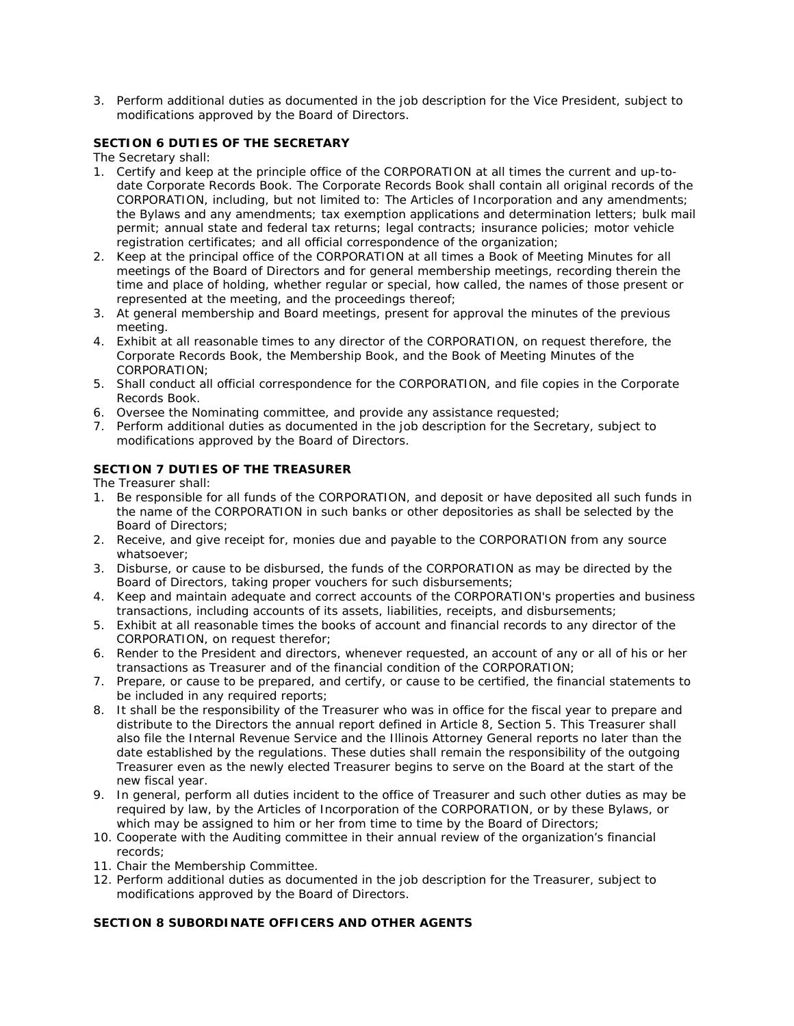3. Perform additional duties as documented in the job description for the Vice President, subject to modifications approved by the Board of Directors.

# **SECTION 6 DUTIES OF THE SECRETARY**

The Secretary shall:

- 1. Certify and keep at the principle office of the CORPORATION at all times the current and up-todate Corporate Records Book. The Corporate Records Book shall contain all original records of the CORPORATION, including, but not limited to: The Articles of Incorporation and any amendments; the Bylaws and any amendments; tax exemption applications and determination letters; bulk mail permit; annual state and federal tax returns; legal contracts; insurance policies; motor vehicle registration certificates; and all official correspondence of the organization;
- 2. Keep at the principal office of the CORPORATION at all times a Book of Meeting Minutes for all meetings of the Board of Directors and for general membership meetings, recording therein the time and place of holding, whether regular or special, how called, the names of those present or represented at the meeting, and the proceedings thereof;
- 3. At general membership and Board meetings, present for approval the minutes of the previous meeting.
- 4. Exhibit at all reasonable times to any director of the CORPORATION, on request therefore, the Corporate Records Book, the Membership Book, and the Book of Meeting Minutes of the CORPORATION;
- 5. Shall conduct all official correspondence for the CORPORATION, and file copies in the Corporate Records Book.
- 6. Oversee the Nominating committee, and provide any assistance requested;
- 7. Perform additional duties as documented in the job description for the Secretary, subject to modifications approved by the Board of Directors.

# **SECTION 7 DUTIES OF THE TREASURER**

The Treasurer shall:

- 1. Be responsible for all funds of the CORPORATION, and deposit or have deposited all such funds in the name of the CORPORATION in such banks or other depositories as shall be selected by the Board of Directors;
- 2. Receive, and give receipt for, monies due and payable to the CORPORATION from any source whatsoever;
- 3. Disburse, or cause to be disbursed, the funds of the CORPORATION as may be directed by the Board of Directors, taking proper vouchers for such disbursements;
- 4. Keep and maintain adequate and correct accounts of the CORPORATION's properties and business transactions, including accounts of its assets, liabilities, receipts, and disbursements;
- 5. Exhibit at all reasonable times the books of account and financial records to any director of the CORPORATION, on request therefor;
- 6. Render to the President and directors, whenever requested, an account of any or all of his or her transactions as Treasurer and of the financial condition of the CORPORATION;
- 7. Prepare, or cause to be prepared, and certify, or cause to be certified, the financial statements to be included in any required reports;
- 8. It shall be the responsibility of the Treasurer who was in office for the fiscal year to prepare and distribute to the Directors the annual report defined in Article 8, Section 5. This Treasurer shall also file the Internal Revenue Service and the Illinois Attorney General reports no later than the date established by the regulations. These duties shall remain the responsibility of the outgoing Treasurer even as the newly elected Treasurer begins to serve on the Board at the start of the new fiscal year.
- 9. In general, perform all duties incident to the office of Treasurer and such other duties as may be required by law, by the Articles of Incorporation of the CORPORATION, or by these Bylaws, or which may be assigned to him or her from time to time by the Board of Directors;
- 10. Cooperate with the Auditing committee in their annual review of the organization's financial records;
- 11. Chair the Membership Committee.
- 12. Perform additional duties as documented in the job description for the Treasurer, subject to modifications approved by the Board of Directors.

# **SECTION 8 SUBORDINATE OFFICERS AND OTHER AGENTS**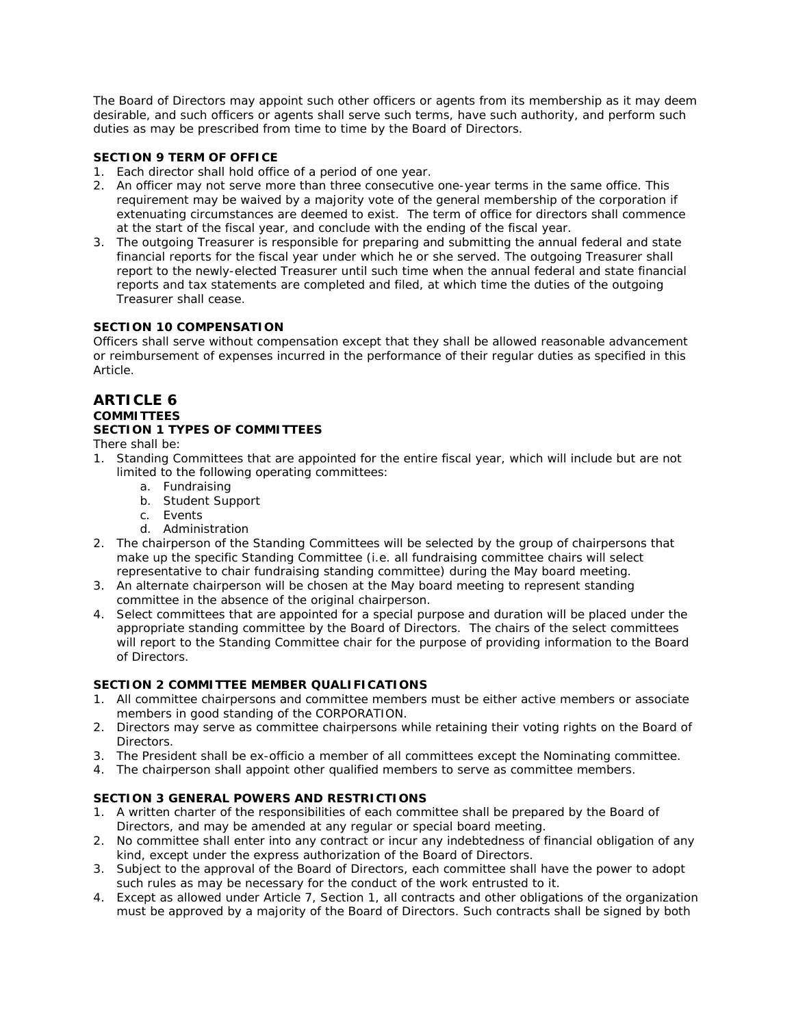The Board of Directors may appoint such other officers or agents from its membership as it may deem desirable, and such officers or agents shall serve such terms, have such authority, and perform such duties as may be prescribed from time to time by the Board of Directors.

# **SECTION 9 TERM OF OFFICE**

- 1. Each director shall hold office of a period of one year.
- 2. An officer may not serve more than three consecutive one-year terms in the same office. This requirement may be waived by a majority vote of the general membership of the corporation if extenuating circumstances are deemed to exist. The term of office for directors shall commence at the start of the fiscal year, and conclude with the ending of the fiscal year.
- 3. The outgoing Treasurer is responsible for preparing and submitting the annual federal and state financial reports for the fiscal year under which he or she served. The outgoing Treasurer shall report to the newly-elected Treasurer until such time when the annual federal and state financial reports and tax statements are completed and filed, at which time the duties of the outgoing Treasurer shall cease.

# **SECTION 10 COMPENSATION**

Officers shall serve without compensation except that they shall be allowed reasonable advancement or reimbursement of expenses incurred in the performance of their regular duties as specified in this Article.

# **ARTICLE 6 COMMITTEES**

# **SECTION 1 TYPES OF COMMITTEES**

There shall be:

- 1. Standing Committees that are appointed for the entire fiscal year, which will include but are not limited to the following operating committees:
	- a. Fundraising
	- b. Student Support
	- c. Events
	- d. Administration
- 2. The chairperson of the Standing Committees will be selected by the group of chairpersons that make up the specific Standing Committee (i.e. all fundraising committee chairs will select representative to chair fundraising standing committee) during the May board meeting.
- 3. An alternate chairperson will be chosen at the May board meeting to represent standing committee in the absence of the original chairperson.
- 4. Select committees that are appointed for a special purpose and duration will be placed under the appropriate standing committee by the Board of Directors. The chairs of the select committees will report to the Standing Committee chair for the purpose of providing information to the Board of Directors.

# **SECTION 2 COMMITTEE MEMBER QUALIFICATIONS**

- 1. All committee chairpersons and committee members must be either active members or associate members in good standing of the CORPORATION.
- 2. Directors may serve as committee chairpersons while retaining their voting rights on the Board of Directors.
- 3. The President shall be ex-officio a member of all committees except the Nominating committee.
- 4. The chairperson shall appoint other qualified members to serve as committee members.

# **SECTION 3 GENERAL POWERS AND RESTRICTIONS**

- 1. A written charter of the responsibilities of each committee shall be prepared by the Board of Directors, and may be amended at any regular or special board meeting.
- 2. No committee shall enter into any contract or incur any indebtedness of financial obligation of any kind, except under the express authorization of the Board of Directors.
- 3. Subject to the approval of the Board of Directors, each committee shall have the power to adopt such rules as may be necessary for the conduct of the work entrusted to it.
- 4. Except as allowed under Article 7, Section 1, all contracts and other obligations of the organization must be approved by a majority of the Board of Directors. Such contracts shall be signed by both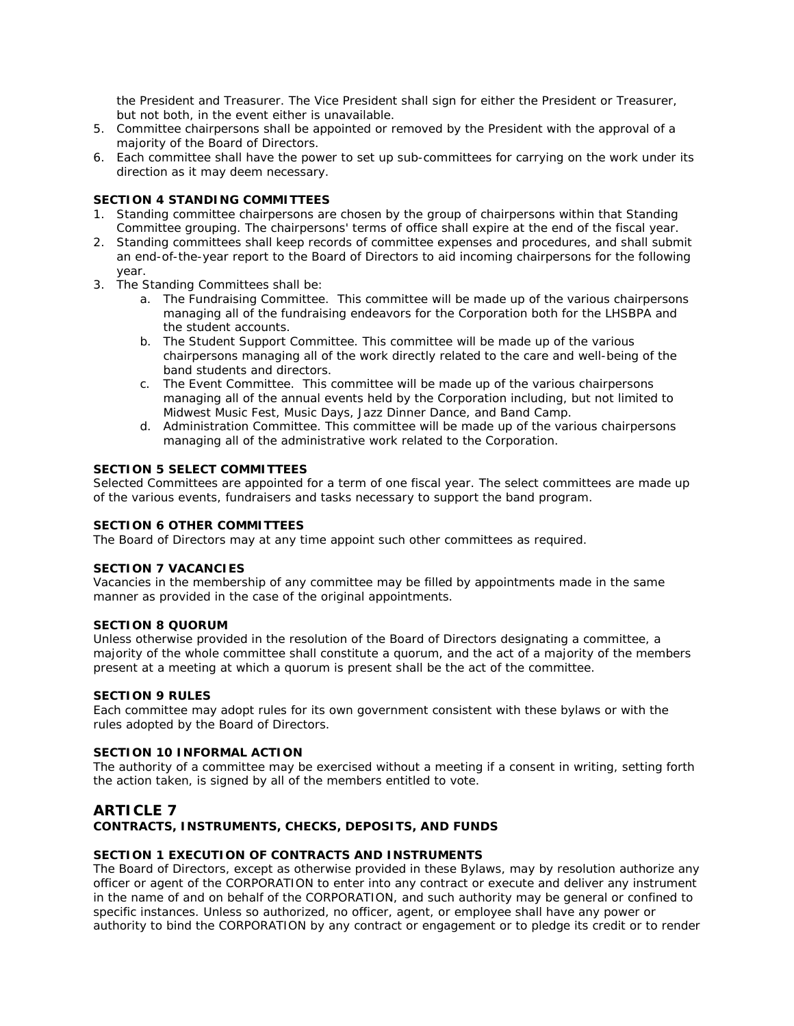the President and Treasurer. The Vice President shall sign for either the President or Treasurer, but not both, in the event either is unavailable.

- 5. Committee chairpersons shall be appointed or removed by the President with the approval of a majority of the Board of Directors.
- 6. Each committee shall have the power to set up sub-committees for carrying on the work under its direction as it may deem necessary.

### **SECTION 4 STANDING COMMITTEES**

- 1. Standing committee chairpersons are chosen by the group of chairpersons within that Standing Committee grouping. The chairpersons' terms of office shall expire at the end of the fiscal year.
- 2. Standing committees shall keep records of committee expenses and procedures, and shall submit an end-of-the-year report to the Board of Directors to aid incoming chairpersons for the following year.
- 3. The Standing Committees shall be:
	- a. The Fundraising Committee. This committee will be made up of the various chairpersons managing all of the fundraising endeavors for the Corporation both for the LHSBPA and the student accounts.
	- b. The Student Support Committee. This committee will be made up of the various chairpersons managing all of the work directly related to the care and well-being of the band students and directors.
	- c. The Event Committee. This committee will be made up of the various chairpersons managing all of the annual events held by the Corporation including, but not limited to Midwest Music Fest, Music Days, Jazz Dinner Dance, and Band Camp.
	- d. Administration Committee. This committee will be made up of the various chairpersons managing all of the administrative work related to the Corporation.

### **SECTION 5 SELECT COMMITTEES**

Selected Committees are appointed for a term of one fiscal year. The select committees are made up of the various events, fundraisers and tasks necessary to support the band program.

### **SECTION 6 OTHER COMMITTEES**

The Board of Directors may at any time appoint such other committees as required.

### **SECTION 7 VACANCIES**

Vacancies in the membership of any committee may be filled by appointments made in the same manner as provided in the case of the original appointments.

### **SECTION 8 QUORUM**

Unless otherwise provided in the resolution of the Board of Directors designating a committee, a majority of the whole committee shall constitute a quorum, and the act of a majority of the members present at a meeting at which a quorum is present shall be the act of the committee.

### **SECTION 9 RULES**

Each committee may adopt rules for its own government consistent with these bylaws or with the rules adopted by the Board of Directors.

### **SECTION 10 INFORMAL ACTION**

The authority of a committee may be exercised without a meeting if a consent in writing, setting forth the action taken, is signed by all of the members entitled to vote.

### **ARTICLE 7 CONTRACTS, INSTRUMENTS, CHECKS, DEPOSITS, AND FUNDS**

# **SECTION 1 EXECUTION OF CONTRACTS AND INSTRUMENTS**

The Board of Directors, except as otherwise provided in these Bylaws, may by resolution authorize any officer or agent of the CORPORATION to enter into any contract or execute and deliver any instrument in the name of and on behalf of the CORPORATION, and such authority may be general or confined to specific instances. Unless so authorized, no officer, agent, or employee shall have any power or authority to bind the CORPORATION by any contract or engagement or to pledge its credit or to render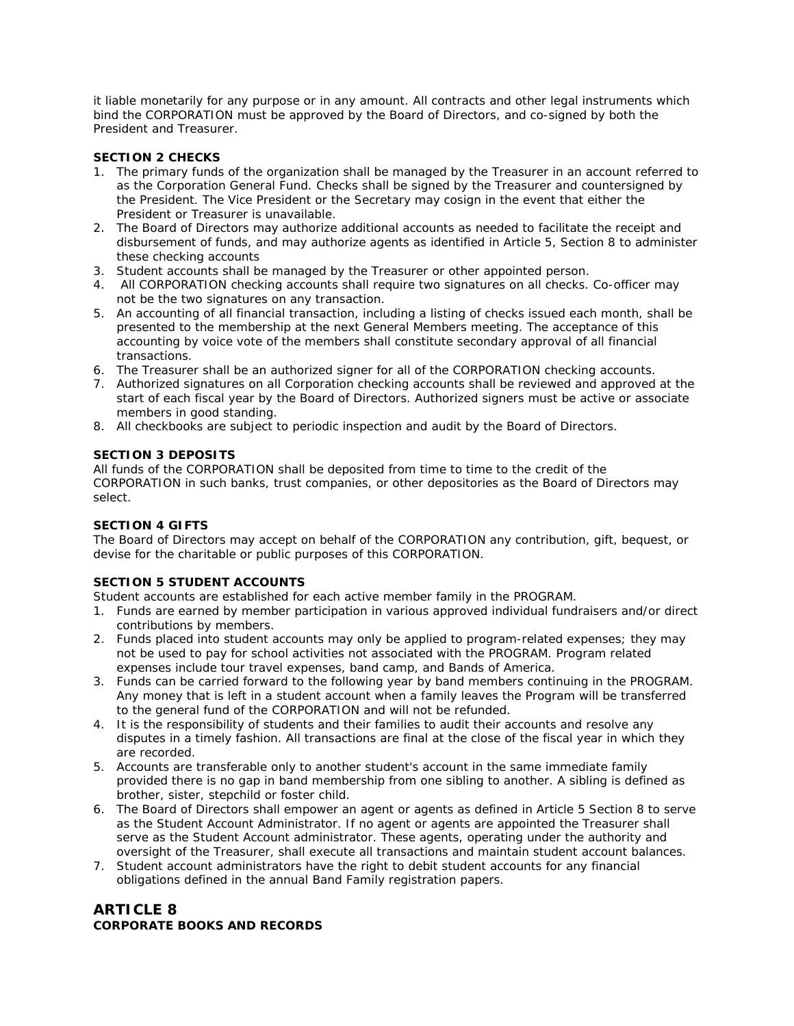it liable monetarily for any purpose or in any amount. All contracts and other legal instruments which bind the CORPORATION must be approved by the Board of Directors, and co-signed by both the President and Treasurer.

# **SECTION 2 CHECKS**

- 1. The primary funds of the organization shall be managed by the Treasurer in an account referred to as the Corporation General Fund. Checks shall be signed by the Treasurer and countersigned by the President. The Vice President or the Secretary may cosign in the event that either the President or Treasurer is unavailable.
- 2. The Board of Directors may authorize additional accounts as needed to facilitate the receipt and disbursement of funds, and may authorize agents as identified in Article 5, Section 8 to administer these checking accounts
- 3. Student accounts shall be managed by the Treasurer or other appointed person.
- 4. All CORPORATION checking accounts shall require two signatures on all checks. Co-officer may not be the two signatures on any transaction.
- 5. An accounting of all financial transaction, including a listing of checks issued each month, shall be presented to the membership at the next General Members meeting. The acceptance of this accounting by voice vote of the members shall constitute secondary approval of all financial transactions.
- 6. The Treasurer shall be an authorized signer for all of the CORPORATION checking accounts.
- 7. Authorized signatures on all Corporation checking accounts shall be reviewed and approved at the start of each fiscal year by the Board of Directors. Authorized signers must be active or associate members in good standing.
- 8. All checkbooks are subject to periodic inspection and audit by the Board of Directors.

# **SECTION 3 DEPOSITS**

All funds of the CORPORATION shall be deposited from time to time to the credit of the CORPORATION in such banks, trust companies, or other depositories as the Board of Directors may select.

# **SECTION 4 GIFTS**

The Board of Directors may accept on behalf of the CORPORATION any contribution, gift, bequest, or devise for the charitable or public purposes of this CORPORATION.

# **SECTION 5 STUDENT ACCOUNTS**

Student accounts are established for each active member family in the PROGRAM.

- 1. Funds are earned by member participation in various approved individual fundraisers and/or direct contributions by members.
- 2. Funds placed into student accounts may only be applied to program-related expenses; they may not be used to pay for school activities not associated with the PROGRAM. Program related expenses include tour travel expenses, band camp, and Bands of America.
- 3. Funds can be carried forward to the following year by band members continuing in the PROGRAM. Any money that is left in a student account when a family leaves the Program will be transferred to the general fund of the CORPORATION and will not be refunded.
- 4. It is the responsibility of students and their families to audit their accounts and resolve any disputes in a timely fashion. All transactions are final at the close of the fiscal year in which they are recorded.
- 5. Accounts are transferable only to another student's account in the same immediate family provided there is no gap in band membership from one sibling to another. A sibling is defined as brother, sister, stepchild or foster child.
- 6. The Board of Directors shall empower an agent or agents as defined in Article 5 Section 8 to serve as the Student Account Administrator. If no agent or agents are appointed the Treasurer shall serve as the Student Account administrator. These agents, operating under the authority and oversight of the Treasurer, shall execute all transactions and maintain student account balances.
- 7. Student account administrators have the right to debit student accounts for any financial obligations defined in the annual Band Family registration papers.

# **ARTICLE 8 CORPORATE BOOKS AND RECORDS**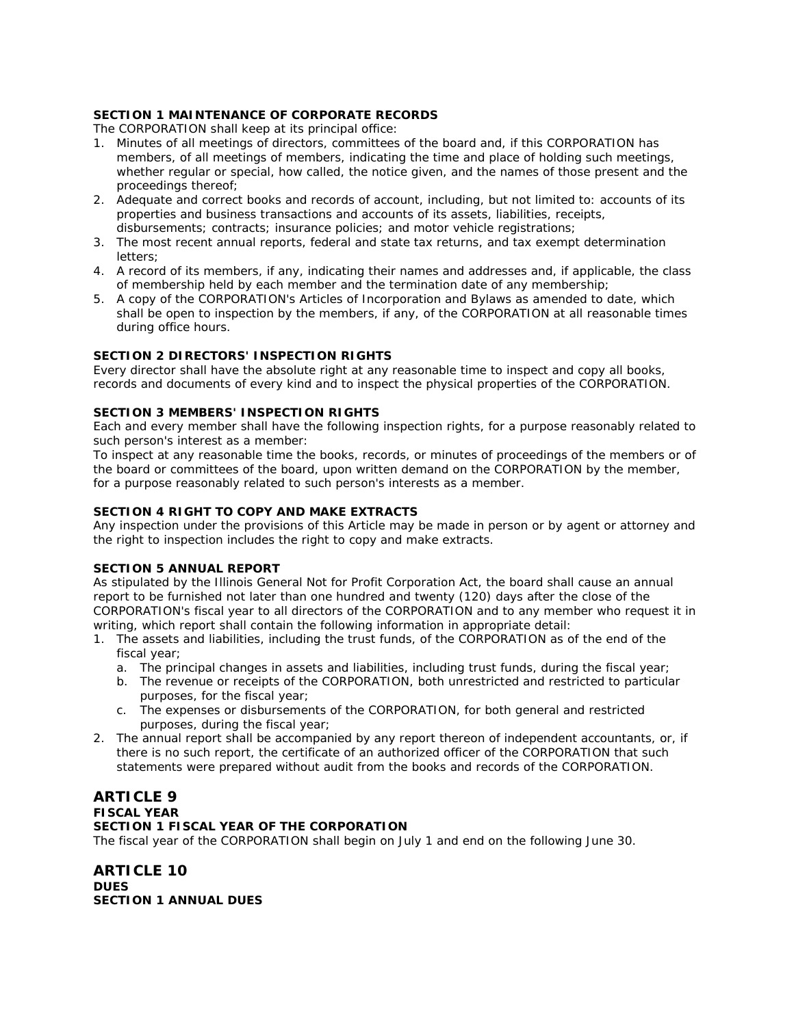# **SECTION 1 MAINTENANCE OF CORPORATE RECORDS**

The CORPORATION shall keep at its principal office:

- 1. Minutes of all meetings of directors, committees of the board and, if this CORPORATION has members, of all meetings of members, indicating the time and place of holding such meetings, whether regular or special, how called, the notice given, and the names of those present and the proceedings thereof;
- 2. Adequate and correct books and records of account, including, but not limited to: accounts of its properties and business transactions and accounts of its assets, liabilities, receipts, disbursements; contracts; insurance policies; and motor vehicle registrations;
- 3. The most recent annual reports, federal and state tax returns, and tax exempt determination letters;
- 4. A record of its members, if any, indicating their names and addresses and, if applicable, the class of membership held by each member and the termination date of any membership;
- 5. A copy of the CORPORATION's Articles of Incorporation and Bylaws as amended to date, which shall be open to inspection by the members, if any, of the CORPORATION at all reasonable times during office hours.

# **SECTION 2 DIRECTORS' INSPECTION RIGHTS**

Every director shall have the absolute right at any reasonable time to inspect and copy all books, records and documents of every kind and to inspect the physical properties of the CORPORATION.

# **SECTION 3 MEMBERS' INSPECTION RIGHTS**

Each and every member shall have the following inspection rights, for a purpose reasonably related to such person's interest as a member:

To inspect at any reasonable time the books, records, or minutes of proceedings of the members or of the board or committees of the board, upon written demand on the CORPORATION by the member, for a purpose reasonably related to such person's interests as a member.

# **SECTION 4 RIGHT TO COPY AND MAKE EXTRACTS**

Any inspection under the provisions of this Article may be made in person or by agent or attorney and the right to inspection includes the right to copy and make extracts.

# **SECTION 5 ANNUAL REPORT**

As stipulated by the Illinois General Not for Profit Corporation Act, the board shall cause an annual report to be furnished not later than one hundred and twenty (120) days after the close of the CORPORATION's fiscal year to all directors of the CORPORATION and to any member who request it in writing, which report shall contain the following information in appropriate detail:

- 1. The assets and liabilities, including the trust funds, of the CORPORATION as of the end of the fiscal year;
	- a. The principal changes in assets and liabilities, including trust funds, during the fiscal year;
	- b. The revenue or receipts of the CORPORATION, both unrestricted and restricted to particular purposes, for the fiscal year;
	- c. The expenses or disbursements of the CORPORATION, for both general and restricted purposes, during the fiscal year;
- 2. The annual report shall be accompanied by any report thereon of independent accountants, or, if there is no such report, the certificate of an authorized officer of the CORPORATION that such statements were prepared without audit from the books and records of the CORPORATION.

# **ARTICLE 9 FISCAL YEAR SECTION 1 FISCAL YEAR OF THE CORPORATION**

The fiscal year of the CORPORATION shall begin on July 1 and end on the following June 30.

**ARTICLE 10 DUES SECTION 1 ANNUAL DUES**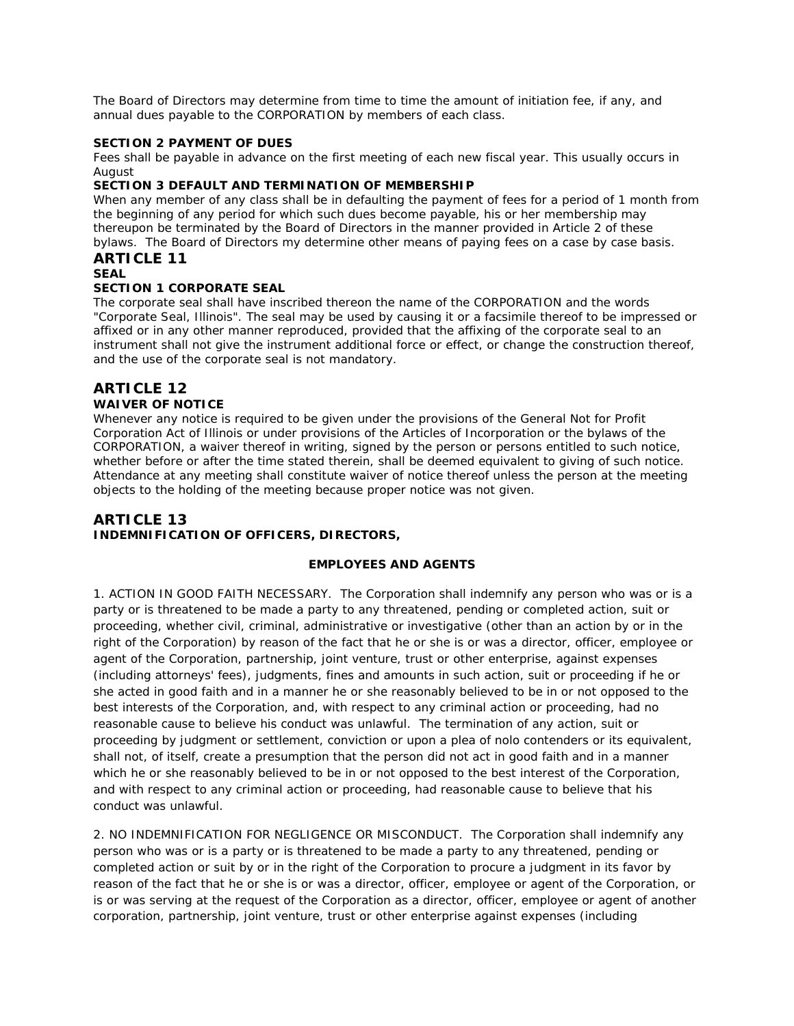The Board of Directors may determine from time to time the amount of initiation fee, if any, and annual dues payable to the CORPORATION by members of each class.

### **SECTION 2 PAYMENT OF DUES**

Fees shall be payable in advance on the first meeting of each new fiscal year. This usually occurs in August

### **SECTION 3 DEFAULT AND TERMINATION OF MEMBERSHIP**

When any member of any class shall be in defaulting the payment of fees for a period of 1 month from the beginning of any period for which such dues become payable, his or her membership may thereupon be terminated by the Board of Directors in the manner provided in Article 2 of these bylaws. The Board of Directors my determine other means of paying fees on a case by case basis. **ARTICLE 11**

### **SEAL**

### **SECTION 1 CORPORATE SEAL**

The corporate seal shall have inscribed thereon the name of the CORPORATION and the words "Corporate Seal, Illinois". The seal may be used by causing it or a facsimile thereof to be impressed or affixed or in any other manner reproduced, provided that the affixing of the corporate seal to an instrument shall not give the instrument additional force or effect, or change the construction thereof, and the use of the corporate seal is not mandatory.

# **ARTICLE 12 WAIVER OF NOTICE**

Whenever any notice is required to be given under the provisions of the General Not for Profit Corporation Act of Illinois or under provisions of the Articles of Incorporation or the bylaws of the CORPORATION, a waiver thereof in writing, signed by the person or persons entitled to such notice, whether before or after the time stated therein, shall be deemed equivalent to giving of such notice. Attendance at any meeting shall constitute waiver of notice thereof unless the person at the meeting objects to the holding of the meeting because proper notice was not given.

# **ARTICLE 13 INDEMNIFICATION OF OFFICERS, DIRECTORS,**

### **EMPLOYEES AND AGENTS**

1. ACTION IN GOOD FAITH NECESSARY. The Corporation shall indemnify any person who was or is a party or is threatened to be made a party to any threatened, pending or completed action, suit or proceeding, whether civil, criminal, administrative or investigative (other than an action by or in the right of the Corporation) by reason of the fact that he or she is or was a director, officer, employee or agent of the Corporation, partnership, joint venture, trust or other enterprise, against expenses (including attorneys' fees), judgments, fines and amounts in such action, suit or proceeding if he or she acted in good faith and in a manner he or she reasonably believed to be in or not opposed to the best interests of the Corporation, and, with respect to any criminal action or proceeding, had no reasonable cause to believe his conduct was unlawful. The termination of any action, suit or proceeding by judgment or settlement, conviction or upon a plea of nolo contenders or its equivalent, shall not, of itself, create a presumption that the person did not act in good faith and in a manner which he or she reasonably believed to be in or not opposed to the best interest of the Corporation, and with respect to any criminal action or proceeding, had reasonable cause to believe that his conduct was unlawful.

2. NO INDEMNIFICATION FOR NEGLIGENCE OR MISCONDUCT. The Corporation shall indemnify any person who was or is a party or is threatened to be made a party to any threatened, pending or completed action or suit by or in the right of the Corporation to procure a judgment in its favor by reason of the fact that he or she is or was a director, officer, employee or agent of the Corporation, or is or was serving at the request of the Corporation as a director, officer, employee or agent of another corporation, partnership, joint venture, trust or other enterprise against expenses (including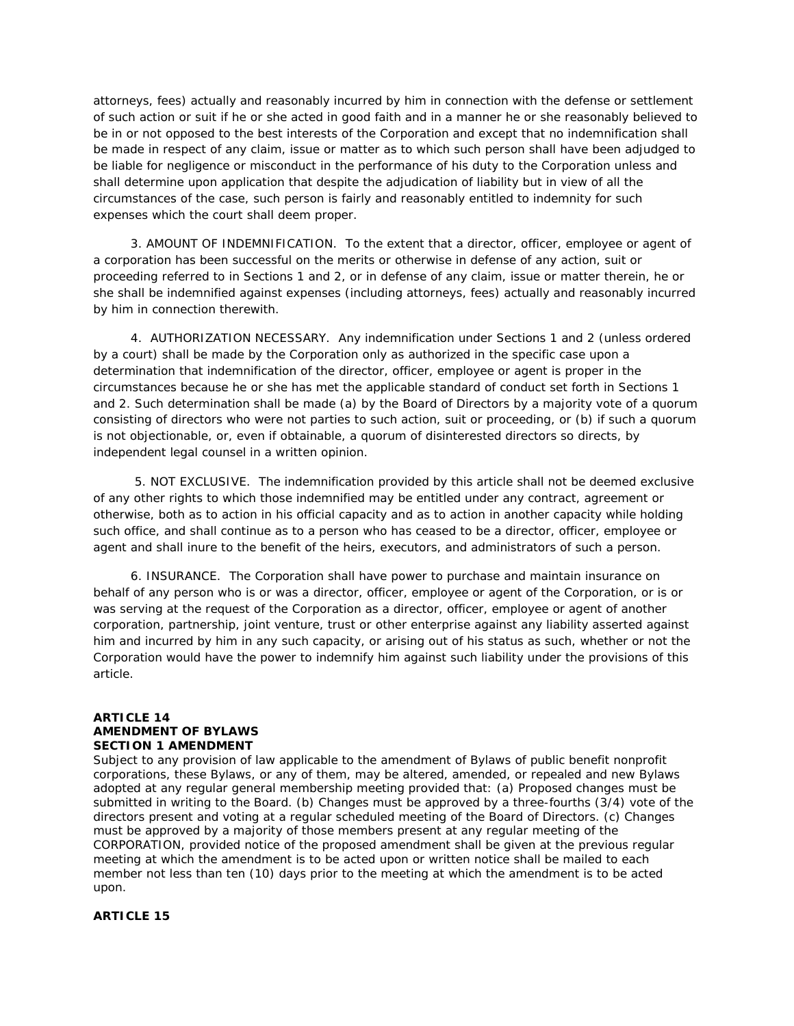attorneys, fees) actually and reasonably incurred by him in connection with the defense or settlement of such action or suit if he or she acted in good faith and in a manner he or she reasonably believed to be in or not opposed to the best interests of the Corporation and except that no indemnification shall be made in respect of any claim, issue or matter as to which such person shall have been adjudged to be liable for negligence or misconduct in the performance of his duty to the Corporation unless and shall determine upon application that despite the adjudication of liability but in view of all the circumstances of the case, such person is fairly and reasonably entitled to indemnity for such expenses which the court shall deem proper.

3. AMOUNT OF INDEMNIFICATION. To the extent that a director, officer, employee or agent of a corporation has been successful on the merits or otherwise in defense of any action, suit or proceeding referred to in Sections 1 and 2, or in defense of any claim, issue or matter therein, he or she shall be indemnified against expenses (including attorneys, fees) actually and reasonably incurred by him in connection therewith.

4. AUTHORIZATION NECESSARY. Any indemnification under Sections 1 and 2 (unless ordered by a court) shall be made by the Corporation only as authorized in the specific case upon a determination that indemnification of the director, officer, employee or agent is proper in the circumstances because he or she has met the applicable standard of conduct set forth in Sections 1 and 2. Such determination shall be made (a) by the Board of Directors by a majority vote of a quorum consisting of directors who were not parties to such action, suit or proceeding, or (b) if such a quorum is not objectionable, or, even if obtainable, a quorum of disinterested directors so directs, by independent legal counsel in a written opinion.

5. NOT EXCLUSIVE. The indemnification provided by this article shall not be deemed exclusive of any other rights to which those indemnified may be entitled under any contract, agreement or otherwise, both as to action in his official capacity and as to action in another capacity while holding such office, and shall continue as to a person who has ceased to be a director, officer, employee or agent and shall inure to the benefit of the heirs, executors, and administrators of such a person.

6. INSURANCE. The Corporation shall have power to purchase and maintain insurance on behalf of any person who is or was a director, officer, employee or agent of the Corporation, or is or was serving at the request of the Corporation as a director, officer, employee or agent of another corporation, partnership, joint venture, trust or other enterprise against any liability asserted against him and incurred by him in any such capacity, or arising out of his status as such, whether or not the Corporation would have the power to indemnify him against such liability under the provisions of this article.

### **ARTICLE 14 AMENDMENT OF BYLAWS SECTION 1 AMENDMENT**

Subject to any provision of law applicable to the amendment of Bylaws of public benefit nonprofit corporations, these Bylaws, or any of them, may be altered, amended, or repealed and new Bylaws adopted at any regular general membership meeting provided that: (a) Proposed changes must be submitted in writing to the Board. (b) Changes must be approved by a three-fourths (3/4) vote of the directors present and voting at a regular scheduled meeting of the Board of Directors. (c) Changes must be approved by a majority of those members present at any regular meeting of the CORPORATION, provided notice of the proposed amendment shall be given at the previous regular meeting at which the amendment is to be acted upon or written notice shall be mailed to each member not less than ten (10) days prior to the meeting at which the amendment is to be acted upon.

# **ARTICLE 15**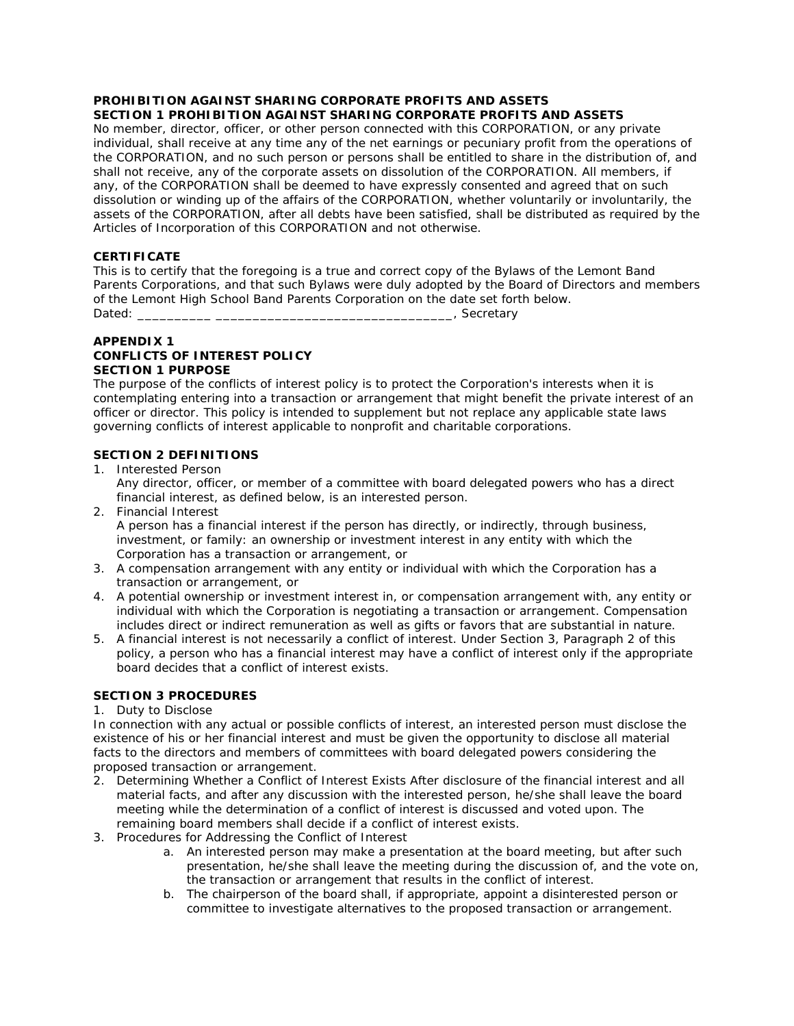# **PROHIBITION AGAINST SHARING CORPORATE PROFITS AND ASSETS**

# **SECTION 1 PROHIBITION AGAINST SHARING CORPORATE PROFITS AND ASSETS**

No member, director, officer, or other person connected with this CORPORATION, or any private individual, shall receive at any time any of the net earnings or pecuniary profit from the operations of the CORPORATION, and no such person or persons shall be entitled to share in the distribution of, and shall not receive, any of the corporate assets on dissolution of the CORPORATION. All members, if any, of the CORPORATION shall be deemed to have expressly consented and agreed that on such dissolution or winding up of the affairs of the CORPORATION, whether voluntarily or involuntarily, the assets of the CORPORATION, after all debts have been satisfied, shall be distributed as required by the Articles of Incorporation of this CORPORATION and not otherwise.

# **CERTIFICATE**

This is to certify that the foregoing is a true and correct copy of the Bylaws of the Lemont Band Parents Corporations, and that such Bylaws were duly adopted by the Board of Directors and members of the Lemont High School Band Parents Corporation on the date set forth below. Dated: \_\_\_\_\_\_\_\_\_\_ \_\_\_\_\_\_\_\_\_\_\_\_\_\_\_\_\_\_\_\_\_\_\_\_\_\_\_\_\_\_\_\_, Secretary

#### **APPENDIX 1 CONFLICTS OF INTEREST POLICY SECTION 1 PURPOSE**

The purpose of the conflicts of interest policy is to protect the Corporation's interests when it is contemplating entering into a transaction or arrangement that might benefit the private interest of an officer or director. This policy is intended to supplement but not replace any applicable state laws governing conflicts of interest applicable to nonprofit and charitable corporations.

# **SECTION 2 DEFINITIONS**

- 1. Interested Person Any director, officer, or member of a committee with board delegated powers who has a direct financial interest, as defined below, is an interested person.
- 2. Financial Interest A person has a financial interest if the person has directly, or indirectly, through business, investment, or family: an ownership or investment interest in any entity with which the Corporation has a transaction or arrangement, or
- 3. A compensation arrangement with any entity or individual with which the Corporation has a transaction or arrangement, or
- 4. A potential ownership or investment interest in, or compensation arrangement with, any entity or individual with which the Corporation is negotiating a transaction or arrangement. Compensation includes direct or indirect remuneration as well as gifts or favors that are substantial in nature.
- 5. A financial interest is not necessarily a conflict of interest. Under Section 3, Paragraph 2 of this policy, a person who has a financial interest may have a conflict of interest only if the appropriate board decides that a conflict of interest exists.

# **SECTION 3 PROCEDURES**

# 1. Duty to Disclose

In connection with any actual or possible conflicts of interest, an interested person must disclose the existence of his or her financial interest and must be given the opportunity to disclose all material facts to the directors and members of committees with board delegated powers considering the proposed transaction or arrangement.

- 2. Determining Whether a Conflict of Interest Exists After disclosure of the financial interest and all material facts, and after any discussion with the interested person, he/she shall leave the board meeting while the determination of a conflict of interest is discussed and voted upon. The remaining board members shall decide if a conflict of interest exists.
- 3. Procedures for Addressing the Conflict of Interest
	- a. An interested person may make a presentation at the board meeting, but after such presentation, he/she shall leave the meeting during the discussion of, and the vote on, the transaction or arrangement that results in the conflict of interest.
	- b. The chairperson of the board shall, if appropriate, appoint a disinterested person or committee to investigate alternatives to the proposed transaction or arrangement.